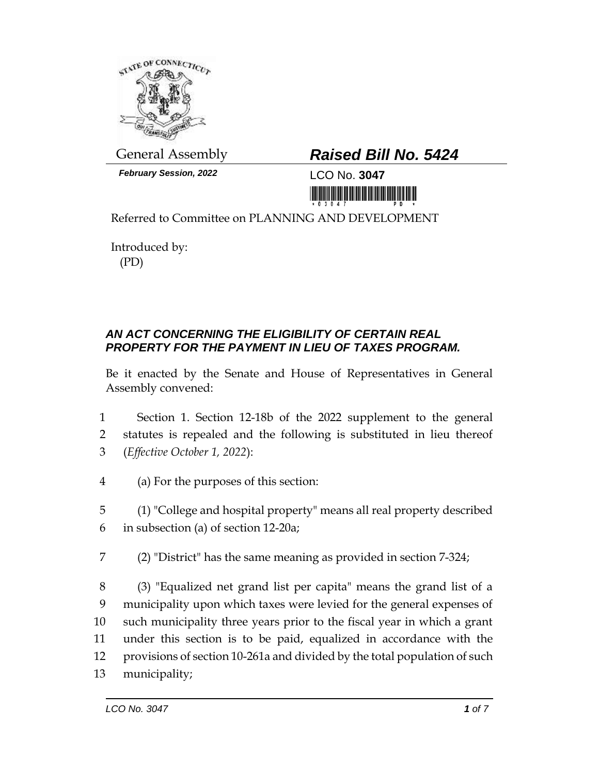

*February Session, 2022* LCO No. **3047**

## General Assembly *Raised Bill No. 5424*

iri bili bilin bir bir manaran mali diran ir

Referred to Committee on PLANNING AND DEVELOPMENT

Introduced by: (PD)

## *AN ACT CONCERNING THE ELIGIBILITY OF CERTAIN REAL PROPERTY FOR THE PAYMENT IN LIEU OF TAXES PROGRAM.*

Be it enacted by the Senate and House of Representatives in General Assembly convened:

1 Section 1. Section 12-18b of the 2022 supplement to the general 2 statutes is repealed and the following is substituted in lieu thereof 3 (*Effective October 1, 2022*):

4 (a) For the purposes of this section:

5 (1) "College and hospital property" means all real property described 6 in subsection (a) of section 12-20a;

7 (2) "District" has the same meaning as provided in section 7-324;

 (3) "Equalized net grand list per capita" means the grand list of a municipality upon which taxes were levied for the general expenses of such municipality three years prior to the fiscal year in which a grant under this section is to be paid, equalized in accordance with the provisions of section 10-261a and divided by the total population of such municipality;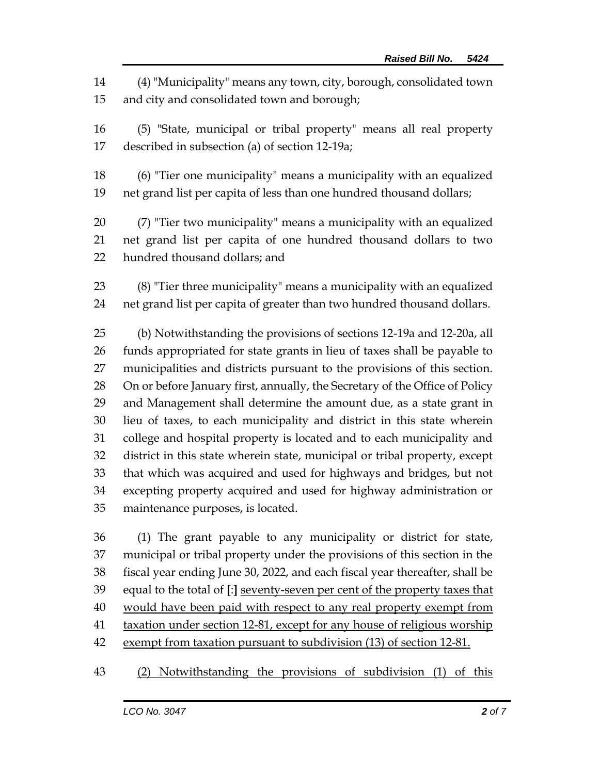(4) "Municipality" means any town, city, borough, consolidated town and city and consolidated town and borough;

 (5) "State, municipal or tribal property" means all real property described in subsection (a) of section 12-19a;

 (6) "Tier one municipality" means a municipality with an equalized net grand list per capita of less than one hundred thousand dollars;

 (7) "Tier two municipality" means a municipality with an equalized net grand list per capita of one hundred thousand dollars to two hundred thousand dollars; and

 (8) "Tier three municipality" means a municipality with an equalized net grand list per capita of greater than two hundred thousand dollars.

 (b) Notwithstanding the provisions of sections 12-19a and 12-20a, all funds appropriated for state grants in lieu of taxes shall be payable to municipalities and districts pursuant to the provisions of this section. On or before January first, annually, the Secretary of the Office of Policy and Management shall determine the amount due, as a state grant in lieu of taxes, to each municipality and district in this state wherein college and hospital property is located and to each municipality and district in this state wherein state, municipal or tribal property, except that which was acquired and used for highways and bridges, but not excepting property acquired and used for highway administration or maintenance purposes, is located.

 (1) The grant payable to any municipality or district for state, municipal or tribal property under the provisions of this section in the fiscal year ending June 30, 2022, and each fiscal year thereafter, shall be equal to the total of **[**:**]** seventy-seven per cent of the property taxes that would have been paid with respect to any real property exempt from taxation under section 12-81, except for any house of religious worship 42 exempt from taxation pursuant to subdivision (13) of section 12-81.

(2) Notwithstanding the provisions of subdivision (1) of this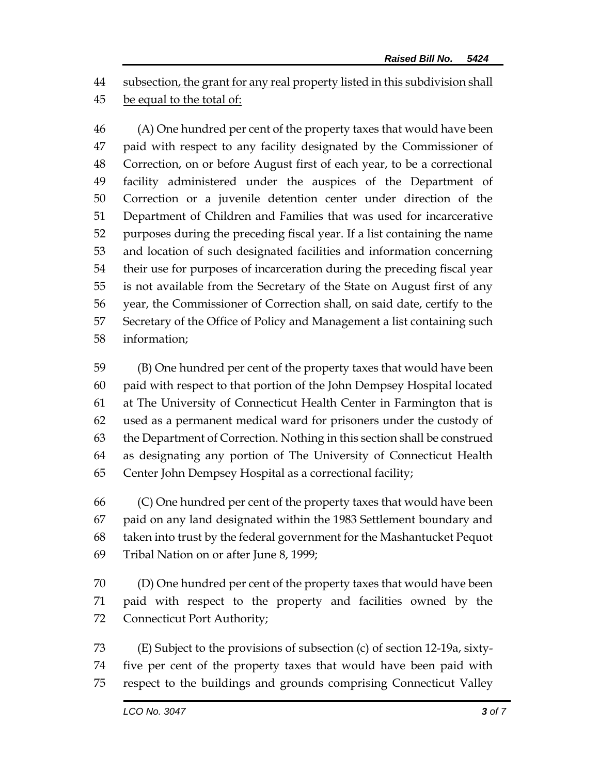subsection, the grant for any real property listed in this subdivision shall

## be equal to the total of:

 (A) One hundred per cent of the property taxes that would have been paid with respect to any facility designated by the Commissioner of Correction, on or before August first of each year, to be a correctional facility administered under the auspices of the Department of Correction or a juvenile detention center under direction of the Department of Children and Families that was used for incarcerative purposes during the preceding fiscal year. If a list containing the name and location of such designated facilities and information concerning their use for purposes of incarceration during the preceding fiscal year is not available from the Secretary of the State on August first of any year, the Commissioner of Correction shall, on said date, certify to the Secretary of the Office of Policy and Management a list containing such information;

 (B) One hundred per cent of the property taxes that would have been paid with respect to that portion of the John Dempsey Hospital located at The University of Connecticut Health Center in Farmington that is used as a permanent medical ward for prisoners under the custody of the Department of Correction. Nothing in this section shall be construed as designating any portion of The University of Connecticut Health Center John Dempsey Hospital as a correctional facility;

 (C) One hundred per cent of the property taxes that would have been paid on any land designated within the 1983 Settlement boundary and taken into trust by the federal government for the Mashantucket Pequot Tribal Nation on or after June 8, 1999;

 (D) One hundred per cent of the property taxes that would have been paid with respect to the property and facilities owned by the Connecticut Port Authority;

 (E) Subject to the provisions of subsection (c) of section 12-19a, sixty- five per cent of the property taxes that would have been paid with respect to the buildings and grounds comprising Connecticut Valley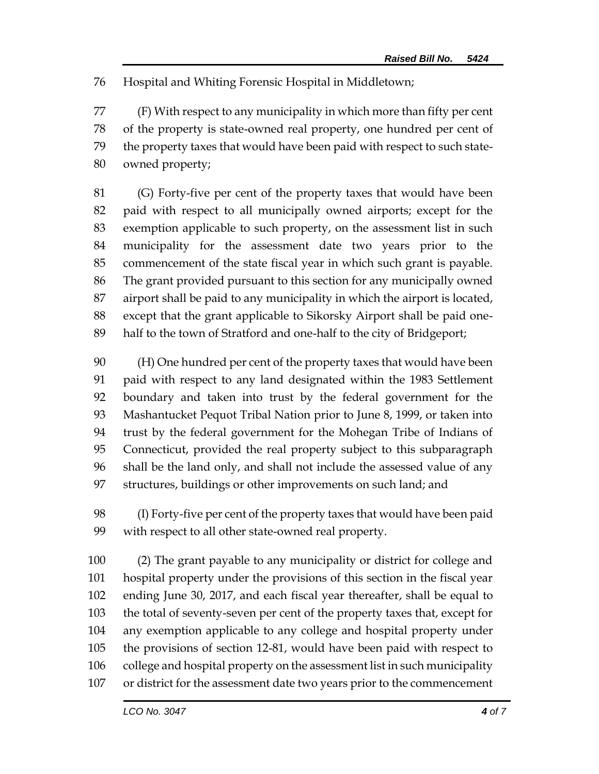Hospital and Whiting Forensic Hospital in Middletown;

 (F) With respect to any municipality in which more than fifty per cent of the property is state-owned real property, one hundred per cent of the property taxes that would have been paid with respect to such state-owned property;

 (G) Forty-five per cent of the property taxes that would have been paid with respect to all municipally owned airports; except for the exemption applicable to such property, on the assessment list in such municipality for the assessment date two years prior to the commencement of the state fiscal year in which such grant is payable. The grant provided pursuant to this section for any municipally owned airport shall be paid to any municipality in which the airport is located, except that the grant applicable to Sikorsky Airport shall be paid one-half to the town of Stratford and one-half to the city of Bridgeport;

 (H) One hundred per cent of the property taxes that would have been paid with respect to any land designated within the 1983 Settlement boundary and taken into trust by the federal government for the Mashantucket Pequot Tribal Nation prior to June 8, 1999, or taken into trust by the federal government for the Mohegan Tribe of Indians of Connecticut, provided the real property subject to this subparagraph shall be the land only, and shall not include the assessed value of any structures, buildings or other improvements on such land; and

 (I) Forty-five per cent of the property taxes that would have been paid with respect to all other state-owned real property.

 (2) The grant payable to any municipality or district for college and hospital property under the provisions of this section in the fiscal year ending June 30, 2017, and each fiscal year thereafter, shall be equal to the total of seventy-seven per cent of the property taxes that, except for any exemption applicable to any college and hospital property under the provisions of section 12-81, would have been paid with respect to college and hospital property on the assessment list in such municipality or district for the assessment date two years prior to the commencement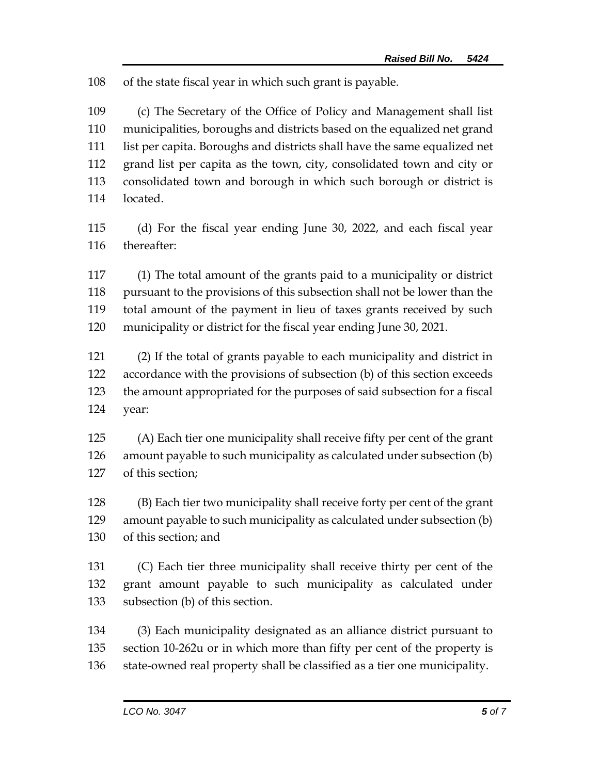of the state fiscal year in which such grant is payable.

 (c) The Secretary of the Office of Policy and Management shall list municipalities, boroughs and districts based on the equalized net grand list per capita. Boroughs and districts shall have the same equalized net grand list per capita as the town, city, consolidated town and city or consolidated town and borough in which such borough or district is located.

 (d) For the fiscal year ending June 30, 2022, and each fiscal year thereafter:

 (1) The total amount of the grants paid to a municipality or district pursuant to the provisions of this subsection shall not be lower than the total amount of the payment in lieu of taxes grants received by such municipality or district for the fiscal year ending June 30, 2021.

 (2) If the total of grants payable to each municipality and district in accordance with the provisions of subsection (b) of this section exceeds the amount appropriated for the purposes of said subsection for a fiscal year:

 (A) Each tier one municipality shall receive fifty per cent of the grant amount payable to such municipality as calculated under subsection (b) of this section;

 (B) Each tier two municipality shall receive forty per cent of the grant amount payable to such municipality as calculated under subsection (b) of this section; and

 (C) Each tier three municipality shall receive thirty per cent of the grant amount payable to such municipality as calculated under subsection (b) of this section.

 (3) Each municipality designated as an alliance district pursuant to section 10-262u or in which more than fifty per cent of the property is state-owned real property shall be classified as a tier one municipality.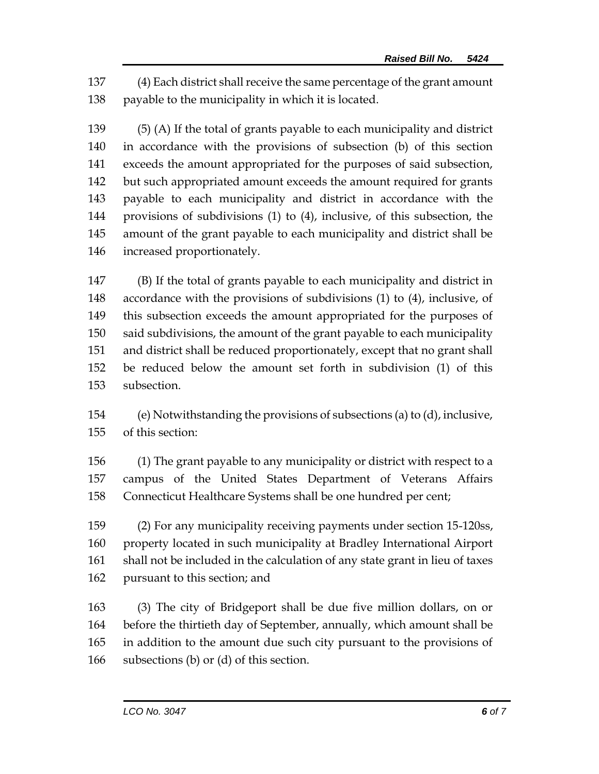(4) Each district shall receive the same percentage of the grant amount payable to the municipality in which it is located.

 (5) (A) If the total of grants payable to each municipality and district in accordance with the provisions of subsection (b) of this section exceeds the amount appropriated for the purposes of said subsection, but such appropriated amount exceeds the amount required for grants payable to each municipality and district in accordance with the provisions of subdivisions (1) to (4), inclusive, of this subsection, the amount of the grant payable to each municipality and district shall be increased proportionately.

 (B) If the total of grants payable to each municipality and district in accordance with the provisions of subdivisions (1) to (4), inclusive, of this subsection exceeds the amount appropriated for the purposes of said subdivisions, the amount of the grant payable to each municipality and district shall be reduced proportionately, except that no grant shall be reduced below the amount set forth in subdivision (1) of this subsection.

 (e) Notwithstanding the provisions of subsections (a) to (d), inclusive, of this section:

 (1) The grant payable to any municipality or district with respect to a campus of the United States Department of Veterans Affairs Connecticut Healthcare Systems shall be one hundred per cent;

 (2) For any municipality receiving payments under section 15-120ss, property located in such municipality at Bradley International Airport shall not be included in the calculation of any state grant in lieu of taxes pursuant to this section; and

 (3) The city of Bridgeport shall be due five million dollars, on or before the thirtieth day of September, annually, which amount shall be in addition to the amount due such city pursuant to the provisions of subsections (b) or (d) of this section.